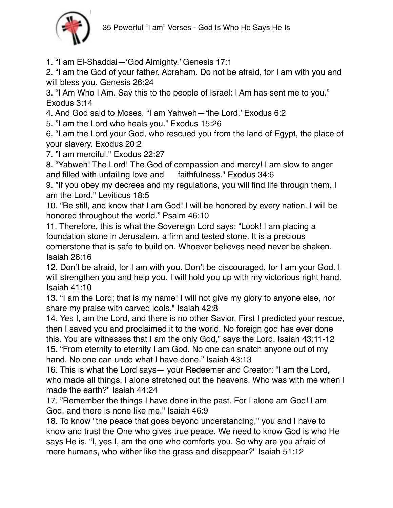

1. "I am El-Shaddai—'God Almighty.' Genesis 17:1

2. "I am the God of your father, Abraham. Do not be afraid, for I am with you and will bless you. Genesis 26:24

3. "I Am Who I Am. Say this to the people of Israel: I Am has sent me to you." Exodus 3:14

4. And God said to Moses, "I am Yahweh—'the Lord.' Exodus 6:2

5. "I am the Lord who heals you." Exodus 15:26

6. "I am the Lord your God, who rescued you from the land of Egypt, the place of your slavery. Exodus 20:2

7. "I am merciful." Exodus 22:27

8. "Yahweh! The Lord! The God of compassion and mercy! I am slow to anger and filled with unfailing love and faithfulness." Exodus 34:6

9. "If you obey my decrees and my regulations, you will find life through them. I am the Lord." Leviticus 18:5

10. "Be still, and know that I am God! I will be honored by every nation. I will be honored throughout the world." Psalm 46:10

11. Therefore, this is what the Sovereign Lord says: "Look! I am placing a foundation stone in Jerusalem, a firm and tested stone. It is a precious cornerstone that is safe to build on. Whoever believes need never be shaken. Isaiah 28:16

12. Don't be afraid, for I am with you. Don't be discouraged, for I am your God. I will strengthen you and help you. I will hold you up with my victorious right hand. Isaiah 41:10

13. "I am the Lord; that is my name! I will not give my glory to anyone else, nor share my praise with carved idols." Isaiah 42:8

14. Yes I, am the Lord, and there is no other Savior. First I predicted your rescue, then I saved you and proclaimed it to the world. No foreign god has ever done this. You are witnesses that I am the only God," says the Lord. Isaiah 43:11-12 15. "From eternity to eternity I am God. No one can snatch anyone out of my hand. No one can undo what I have done." Isaiah 43:13

16. This is what the Lord says— your Redeemer and Creator: "I am the Lord, who made all things. I alone stretched out the heavens. Who was with me when I made the earth?" Isaiah 44:24

17. "Remember the things I have done in the past. For I alone am God! I am God, and there is none like me." Isaiah 46:9

18. To know "the peace that goes beyond understanding," you and I have to know and trust the One who gives true peace. We need to know God is who He says He is. "I, yes I, am the one who comforts you. So why are you afraid of mere humans, who wither like the grass and disappear?" Isaiah 51:12